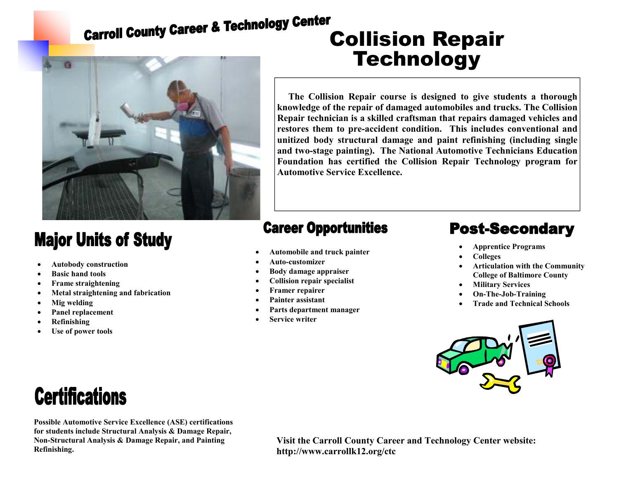## **Carroll County Career & Technology Genter<br>Collision Repair**



### **Major Units of Study**

- **Autobody construction**
- **Basic hand tools**
- **Frame straightening**
- **Metal straightening and fabrication**
- **Mig welding**
- **Panel replacement**
- **Refinishing**
- **Use of power tools**

# **Technology**

**The Collision Repair course is designed to give students a thorough knowledge of the repair of damaged automobiles and trucks. The Collision Repair technician is a skilled craftsman that repairs damaged vehicles and restores them to pre-accident condition. This includes conventional and unitized body structural damage and paint refinishing (including single and two-stage painting). The National Automotive Technicians Education Foundation has certified the Collision Repair Technology program for Automotive Service Excellence.** 

#### **Career Opportunities**

- **Automobile and truck painter**
- **Auto-customizer**
- **Body damage appraiser**
- **Collision repair specialist**
- **Framer repairer**
- **Painter assistant**
- **Parts department manager**
- **Service writer**

### **Post-Secondary**

- **Apprentice Programs**
- **Colleges**
- **Articulation with the Community College of Baltimore County**
- **Military Services**
- **On-The-Job-Training**
- **Trade and Technical Schools**



## **Certifications**

**Possible Automotive Service Excellence (ASE) certifications for students include Structural Analysis & Damage Repair, Non-Structural Analysis & Damage Repair, and Painting Refinishing.** 

**Visit the Carroll County Career and Technology Center website: http://www.carrollk12.org/ctc**